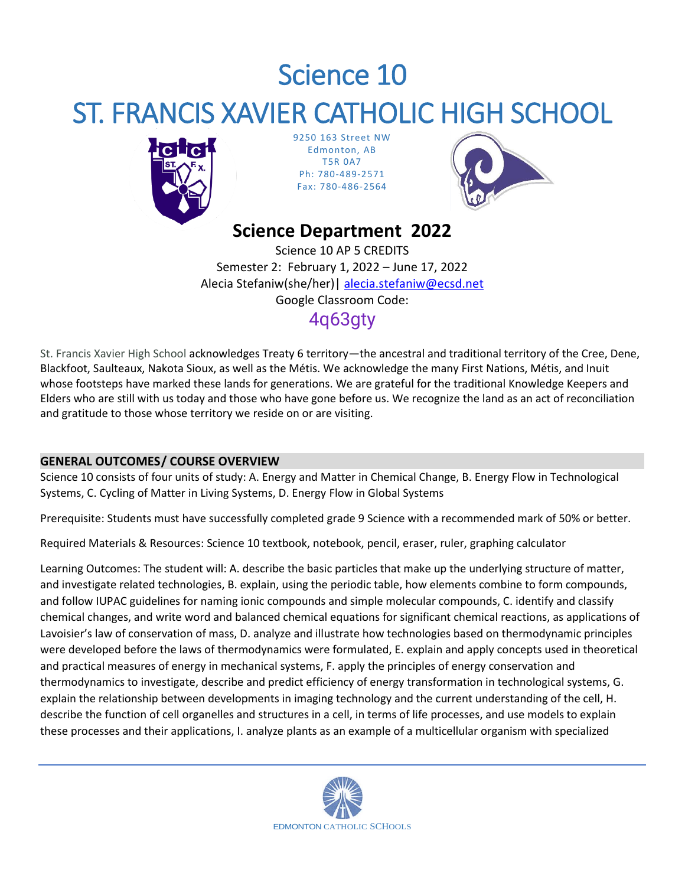# Science 10 ST. FRANCIS XAVIER CATHOLIC HIGH SCHOOL



9250 163 Street NW Edmonton, AB T5R 0A7 Ph: 780-489-2571 Fax: 780-486-2564



## **Science Department 2022**

Science 10 AP 5 CREDITS Semester 2: February 1, 2022 – June 17, 2022 Alecia Stefaniw(she/her)| [alecia.stefaniw@ecsd.net](mailto:Jaiden.Fagrie@ecsd.net) Google Classroom Code: 4q63gty

St. Francis Xavier High School acknowledges Treaty 6 territory—the ancestral and traditional territory of the Cree, Dene, Blackfoot, Saulteaux, Nakota Sioux, as well as the Métis. We acknowledge the many First Nations, Métis, and Inuit whose footsteps have marked these lands for generations. We are grateful for the traditional Knowledge Keepers and Elders who are still with us today and those who have gone before us. We recognize the land as an act of reconciliation and gratitude to those whose territory we reside on or are visiting.

## **GENERAL OUTCOMES/ COURSE OVERVIEW**

Science 10 consists of four units of study: A. Energy and Matter in Chemical Change, B. Energy Flow in Technological Systems, C. Cycling of Matter in Living Systems, D. Energy Flow in Global Systems

Prerequisite: Students must have successfully completed grade 9 Science with a recommended mark of 50% or better.

Required Materials & Resources: Science 10 textbook, notebook, pencil, eraser, ruler, graphing calculator

Learning Outcomes: The student will: A. describe the basic particles that make up the underlying structure of matter, and investigate related technologies, B. explain, using the periodic table, how elements combine to form compounds, and follow IUPAC guidelines for naming ionic compounds and simple molecular compounds, C. identify and classify chemical changes, and write word and balanced chemical equations for significant chemical reactions, as applications of Lavoisier's law of conservation of mass, D. analyze and illustrate how technologies based on thermodynamic principles were developed before the laws of thermodynamics were formulated, E. explain and apply concepts used in theoretical and practical measures of energy in mechanical systems, F. apply the principles of energy conservation and thermodynamics to investigate, describe and predict efficiency of energy transformation in technological systems, G. explain the relationship between developments in imaging technology and the current understanding of the cell, H. describe the function of cell organelles and structures in a cell, in terms of life processes, and use models to explain these processes and their applications, I. analyze plants as an example of a multicellular organism with specialized

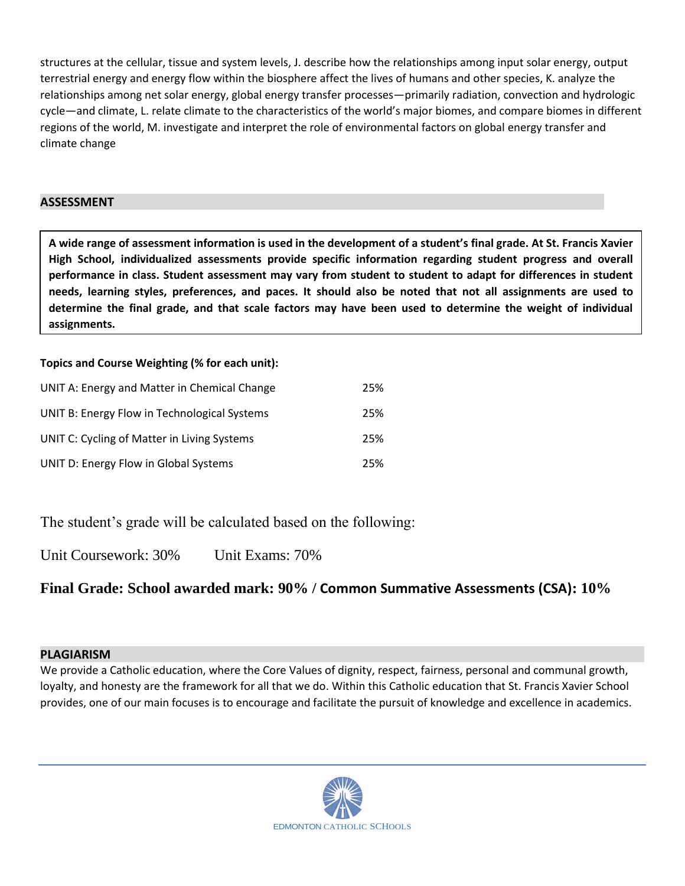structures at the cellular, tissue and system levels, J. describe how the relationships among input solar energy, output terrestrial energy and energy flow within the biosphere affect the lives of humans and other species, K. analyze the relationships among net solar energy, global energy transfer processes—primarily radiation, convection and hydrologic cycle—and climate, L. relate climate to the characteristics of the world's major biomes, and compare biomes in different regions of the world, M. investigate and interpret the role of environmental factors on global energy transfer and climate change

## **ASSESSMENT**

**A wide range of assessment information is used in the development of a student's final grade. At St. Francis Xavier High School, individualized assessments provide specific information regarding student progress and overall performance in class. Student assessment may vary from student to student to adapt for differences in student needs, learning styles, preferences, and paces. It should also be noted that not all assignments are used to determine the final grade, and that scale factors may have been used to determine the weight of individual assignments.**

## **Topics and Course Weighting (% for each unit):**

| UNIT A: Energy and Matter in Chemical Change | 25% |
|----------------------------------------------|-----|
| UNIT B: Energy Flow in Technological Systems | 25% |
| UNIT C: Cycling of Matter in Living Systems  | 25% |
| UNIT D: Energy Flow in Global Systems        | 25% |

The student's grade will be calculated based on the following:

Unit Coursework: 30% Unit Exams: 70%

## **Final Grade: School awarded mark: 90% / Common Summative Assessments (CSA): 10%**

## **PLAGIARISM**

We provide a Catholic education, where the Core Values of dignity, respect, fairness, personal and communal growth, loyalty, and honesty are the framework for all that we do. Within this Catholic education that St. Francis Xavier School provides, one of our main focuses is to encourage and facilitate the pursuit of knowledge and excellence in academics.